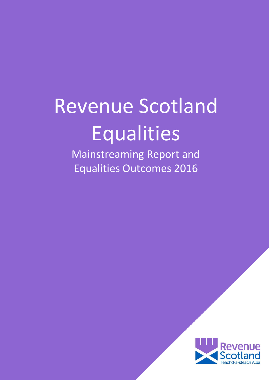# <span id="page-0-0"></span>Revenue Scotland Equalities

Mainstreaming Report and Equalities Outcomes 2016

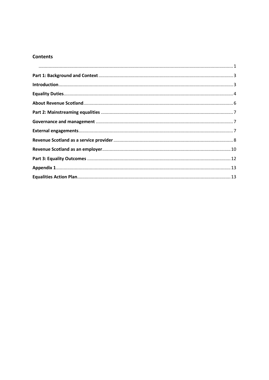### **Contents**

<span id="page-1-0"></span>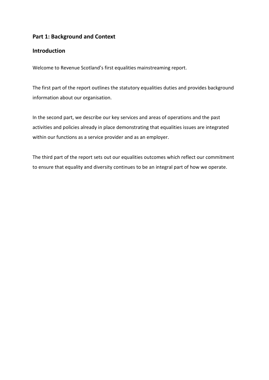## **Part 1: Background and Context**

## <span id="page-2-0"></span>**Introduction**

Welcome to Revenue Scotland's first equalities mainstreaming report.

The first part of the report outlines the statutory equalities duties and provides background information about our organisation.

In the second part, we describe our key services and areas of operations and the past activities and policies already in place demonstrating that equalities issues are integrated within our functions as a service provider and as an employer.

The third part of the report sets out our equalities outcomes which reflect our commitment to ensure that equality and diversity continues to be an integral part of how we operate.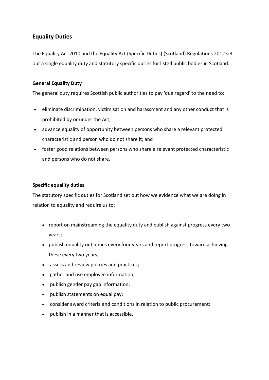## <span id="page-3-0"></span>**Equality Duties**

The Equality Act 2010 and the Equality Act (Specific Duties) (Scotland) Regulations 2012 set out a single equality duty and statutory specific duties for listed public bodies in Scotland.

## **General Equality Duty**

The general duty requires Scottish public authorities to pay 'due regard' to the need to:

- eliminate discrimination, victimisation and harassment and any other conduct that is prohibited by or under the Act;
- advance equality of opportunity between persons who share a relevant protected characteristic and person who do not share it; and
- foster good relations between persons who share a relevant protected characteristic and persons who do not share.

#### **Specific equality duties**

The statutory specific duties for Scotland set out how we evidence what we are doing in relation to equality and require us to:

- report on mainstreaming the equality duty and publish against progress every two years;
- publish equality outcomes every four years and report progress toward achieving these every two years;
- assess and review policies and practices;
- gather and use employee information;
- publish gender pay gap information;
- publish statements on equal pay;
- consider award criteria and conditions in relation to public procurement;
- publish in a manner that is accessible.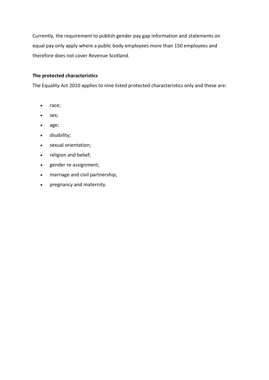Currently, the requirement to publish gender pay gap information and statements on equal pay only apply where a public body employees more than 150 employees and therefore does not cover Revenue Scotland.

### **The protected characteristics**

The Equality Act 2010 applies to nine listed protected characteristics only and these are:

- race;
- sex;
- age;
- disability;
- sexual orientation;
- religion and belief;
- gender re-assignment;
- marriage and civil partnership;
- pregnancy and maternity.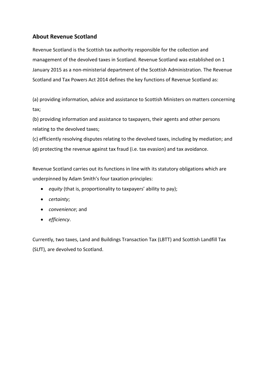# <span id="page-5-0"></span>**About Revenue Scotland**

Revenue Scotland is the Scottish tax authority responsible for the collection and management of the devolved taxes in Scotland. Revenue Scotland was established on 1 January 2015 as a non-ministerial department of the Scottish Administration. The Revenue Scotland and Tax Powers Act 2014 defines the key functions of Revenue Scotland as:

(a) providing information, advice and assistance to Scottish Ministers on matters concerning tax;

(b) providing information and assistance to taxpayers, their agents and other persons relating to the devolved taxes;

(c) efficiently resolving disputes relating to the devolved taxes, including by mediation; and

(d) protecting the revenue against tax fraud (i.e. tax evasion) and tax avoidance.

Revenue Scotland carries out its functions in line with its statutory obligations which are underpinned by Adam Smith's four taxation principles:

- *equity* (that is, proportionality to taxpayers' ability to pay);
- *certainty*;
- *convenience*; and
- *efficiency*.

<span id="page-5-1"></span>Currently, two taxes, Land and Buildings Transaction Tax (LBTT) and Scottish Landfill Tax (SLfT), are devolved to Scotland.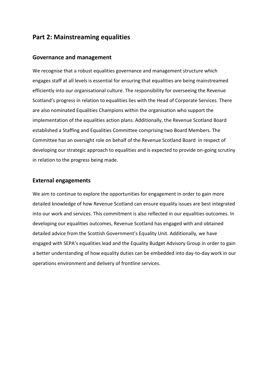# **Part 2: Mainstreaming equalities**

#### <span id="page-6-0"></span>**Governance and management**

We recognise that a robust equalities governance and management structure which engages staff at all levels is essential for ensuring that equalities are being mainstreamed efficiently into our organisational culture. The responsibility for overseeing the Revenue Scotland's progress in relation to equalities lies with the Head of Corporate Services. There are also nominated Equalities Champions within the organisation who support the implementation of the equalities action plans. Additionally, the Revenue Scotland Board established a Staffing and Equalities Committee comprising two Board Members. The Committee has an oversight role on behalf of the Revenue Scotland Board in respect of developing our strategic approach to equalities and is expected to provide on-going scrutiny in relation to the progress being made.

#### <span id="page-6-1"></span>**External engagements**

<span id="page-6-2"></span>We aim to continue to explore the opportunities for engagement in order to gain more detailed knowledge of how Revenue Scotland can ensure equality issues are best integrated into our work and services. This commitment is also reflected in our equalities outcomes. In developing our equalities outcomes, Revenue Scotland has engaged with and obtained detailed advice from the Scottish Government's Equality Unit. Additionally, we have engaged with SEPA's equalities lead and the Equality Budget Advisory Group in order to gain a better understanding of how equality duties can be embedded into day-to-day work in our operations environment and delivery of frontline services.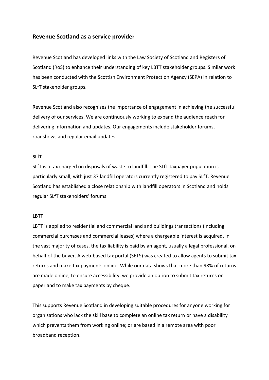## **Revenue Scotland as a service provider**

Revenue Scotland has developed links with the Law Society of Scotland and Registers of Scotland (RoS) to enhance their understanding of key LBTT stakeholder groups. Similar work has been conducted with the Scottish Environment Protection Agency (SEPA) in relation to SLfT stakeholder groups.

Revenue Scotland also recognises the importance of engagement in achieving the successful delivery of our services. We are continuously working to expand the audience reach for delivering information and updates. Our engagements include stakeholder forums, roadshows and regular email updates.

### **SLfT**

SLfT is a tax charged on disposals of waste to landfill. The SLfT taxpayer population is particularly small, with just 37 landfill operators currently registered to pay SLfT. Revenue Scotland has established a close relationship with landfill operators in Scotland and holds regular SLfT stakeholders' forums.

### **LBTT**

LBTT is applied to residential and commercial land and buildings transactions (including commercial purchases and commercial leases) where a chargeable interest is acquired. In the vast majority of cases, the tax liability is paid by an agent, usually a legal professional, on behalf of the buyer. A web-based tax portal (SETS) was created to allow agents to submit tax returns and make tax payments online. While our data shows that more than 98% of returns are made online, to ensure accessibility, we provide an option to submit tax returns on paper and to make tax payments by cheque.

This supports Revenue Scotland in developing suitable procedures for anyone working for organisations who lack the skill base to complete an online tax return or have a disability which prevents them from working online; or are based in a remote area with poor broadband reception.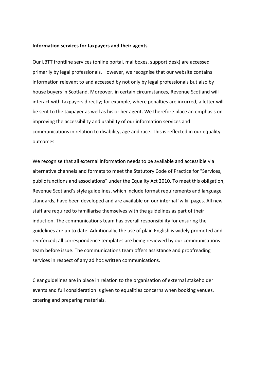#### **Information services for taxpayers and their agents**

Our LBTT frontline services (online portal, mailboxes, support desk) are accessed primarily by legal professionals. However, we recognise that our website contains information relevant to and accessed by not only by legal professionals but also by house buyers in Scotland. Moreover, in certain circumstances, Revenue Scotland will interact with taxpayers directly; for example, where penalties are incurred, a letter will be sent to the taxpayer as well as his or her agent. We therefore place an emphasis on improving the accessibility and usability of our information services and communications in relation to disability, age and race. This is reflected in our equality outcomes.

We recognise that all external information needs to be available and accessible via alternative channels and formats to meet the Statutory Code of Practice for "Services, public functions and associations" under the Equality Act 2010. To meet this obligation, Revenue Scotland's style guidelines, which include format requirements and language standards, have been developed and are available on our internal 'wiki' pages. All new staff are required to familiarise themselves with the guidelines as part of their induction. The communications team has overall responsibility for ensuring the guidelines are up to date. Additionally, the use of plain English is widely promoted and reinforced; all correspondence templates are being reviewed by our communications team before issue. The communications team offers assistance and proofreading services in respect of any ad hoc written communications.

<span id="page-8-0"></span>Clear guidelines are in place in relation to the organisation of external stakeholder events and full consideration is given to equalities concerns when booking venues, catering and preparing materials.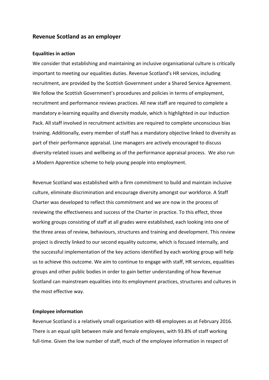#### **Revenue Scotland as an employer**

#### **Equalities in action**

We consider that establishing and maintaining an inclusive organisational culture is critically important to meeting our equalities duties. Revenue Scotland's HR services, including recruitment, are provided by the Scottish Government under a Shared Service Agreement. We follow the Scottish Government's procedures and policies in terms of employment, recruitment and performance reviews practices. All new staff are required to complete a mandatory e-learning equality and diversity module, which is highlighted in our Induction Pack. All staff involved in recruitment activities are required to complete unconscious bias training. Additionally, every member of staff has a mandatory objective linked to diversity as part of their performance appraisal. Line managers are actively encouraged to discuss diversity-related issues and wellbeing as of the performance appraisal process. We also run a Modern Apprentice scheme to help young people into employment.

Revenue Scotland was established with a firm commitment to build and maintain inclusive culture, eliminate discrimination and encourage diversity amongst our workforce. A Staff Charter was developed to reflect this commitment and we are now in the process of reviewing the effectiveness and success of the Charter in practice. To this effect, three working groups consisting of staff at all grades were established, each looking into one of the three areas of review, behaviours, structures and training and development. This review project is directly linked to our second equality outcome, which is focused internally, and the successful implementation of the key actions identified by each working group will help us to achieve this outcome. We aim to continue to engage with staff, HR services, equalities groups and other public bodies in order to gain better understanding of how Revenue Scotland can mainstream equalities into its employment practices, structures and cultures in the most effective way.

#### **Employee information**

Revenue Scotland is a relatively small organisation with 48 employees as at February 2016. There is an equal split between male and female employees, with 93.8% of staff working full-time. Given the low number of staff, much of the employee information in respect of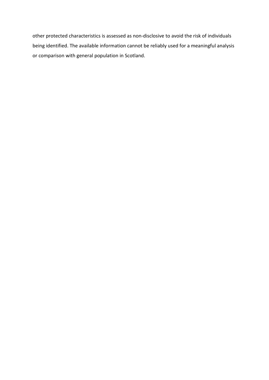<span id="page-10-0"></span>other protected characteristics is assessed as non-disclosive to avoid the risk of individuals being identified. The available information cannot be reliably used for a meaningful analysis or comparison with general population in Scotland.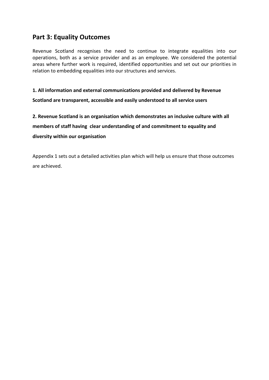# **Part 3: Equality Outcomes**

Revenue Scotland recognises the need to continue to integrate equalities into our operations, both as a service provider and as an employee. We considered the potential areas where further work is required, identified opportunities and set out our priorities in relation to embedding equalities into our structures and services.

**1. All information and external communications provided and delivered by Revenue Scotland are transparent, accessible and easily understood to all service users**

**2. Revenue Scotland is an organisation which demonstrates an inclusive culture with all members of staff having clear understanding of and commitment to equality and diversity within our organisation**

Appendix 1 sets out a detailed activities plan which will help us ensure that those outcomes are achieved.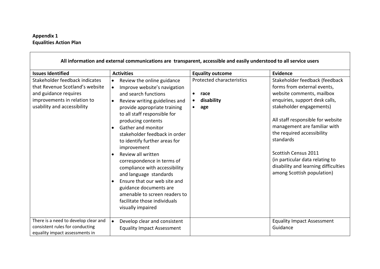## **Appendix 1 Equalities Action Plan**

<span id="page-12-1"></span><span id="page-12-0"></span>

| All information and external communications are transparent, accessible and easily understood to all service users                                       |                                                                                                                                                                                                                                                                                                                                                                                                                                                                                                                                                                                                                                            |                                                                                               |                                                                                                                                                                                                                                                                                                                                                                                                           |
|----------------------------------------------------------------------------------------------------------------------------------------------------------|--------------------------------------------------------------------------------------------------------------------------------------------------------------------------------------------------------------------------------------------------------------------------------------------------------------------------------------------------------------------------------------------------------------------------------------------------------------------------------------------------------------------------------------------------------------------------------------------------------------------------------------------|-----------------------------------------------------------------------------------------------|-----------------------------------------------------------------------------------------------------------------------------------------------------------------------------------------------------------------------------------------------------------------------------------------------------------------------------------------------------------------------------------------------------------|
| <b>Issues Identified</b>                                                                                                                                 | <b>Activities</b>                                                                                                                                                                                                                                                                                                                                                                                                                                                                                                                                                                                                                          | <b>Equality outcome</b>                                                                       | <b>Evidence</b>                                                                                                                                                                                                                                                                                                                                                                                           |
| Stakeholder feedback indicates<br>that Revenue Scotland's website<br>and guidance requires<br>improvements in relation to<br>usability and accessibility | Review the online guidance<br>Improve website's navigation<br>$\bullet$<br>and search functions<br>Review writing guidelines and<br>$\bullet$<br>provide appropriate training<br>to all staff responsible for<br>producing contents<br><b>Gather and monitor</b><br>$\bullet$<br>stakeholder feedback in order<br>to identify further areas for<br>improvement<br>Review all written<br>correspondence in terms of<br>compliance with accessibility<br>and language standards<br>Ensure that our web site and<br>$\bullet$<br>guidance documents are<br>amenable to screen readers to<br>facilitate those individuals<br>visually impaired | Protected characteristics<br>$\bullet$<br>race<br>disability<br>$\bullet$<br>age<br>$\bullet$ | Stakeholder feedback (feedback<br>forms from external events,<br>website comments, mailbox<br>enquiries, support desk calls,<br>stakeholder engagements)<br>All staff responsible for website<br>management are familiar with<br>the required accessibility<br>standards<br>Scottish Census 2011<br>(in particular data relating to<br>disability and learning difficulties<br>among Scottish population) |
| There is a need to develop clear and<br>consistent rules for conducting<br>equality impact assessments in                                                | $\bullet$<br>Develop clear and consistent<br><b>Equality Impact Assessment</b>                                                                                                                                                                                                                                                                                                                                                                                                                                                                                                                                                             |                                                                                               | <b>Equality Impact Assessment</b><br>Guidance                                                                                                                                                                                                                                                                                                                                                             |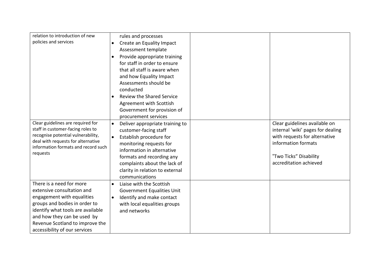| relation to introduction of new                                           |           | rules and processes              |                                   |
|---------------------------------------------------------------------------|-----------|----------------------------------|-----------------------------------|
| policies and services                                                     | $\bullet$ | Create an Equality Impact        |                                   |
|                                                                           |           | Assessment template              |                                   |
|                                                                           |           | Provide appropriate training     |                                   |
|                                                                           |           | for staff in order to ensure     |                                   |
|                                                                           |           | that all staff is aware when     |                                   |
|                                                                           |           | and how Equality Impact          |                                   |
|                                                                           |           | Assessments should be            |                                   |
|                                                                           |           | conducted                        |                                   |
|                                                                           |           | <b>Review the Shared Service</b> |                                   |
|                                                                           |           | Agreement with Scottish          |                                   |
|                                                                           |           | Government for provision of      |                                   |
|                                                                           |           | procurement services             |                                   |
| Clear guidelines are required for                                         | $\bullet$ | Deliver appropriate training to  | Clear guidelines available on     |
| staff in customer-facing roles to                                         |           | customer-facing staff            | internal 'wiki' pages for dealing |
| recognise potential vulnerability,                                        | $\bullet$ | Establish procedure for          | with requests for alternative     |
| deal with requests for alternative<br>information formats and record such |           | monitoring requests for          | information formats               |
| requests                                                                  |           | information in alternative       |                                   |
|                                                                           |           | formats and recording any        | "Two Ticks" Disability            |
|                                                                           |           | complaints about the lack of     | accreditation achieved            |
|                                                                           |           | clarity in relation to external  |                                   |
|                                                                           |           | communications                   |                                   |
| There is a need for more                                                  | $\bullet$ | Liaise with the Scottish         |                                   |
| extensive consultation and                                                |           | Government Equalities Unit       |                                   |
| engagement with equalities                                                | $\bullet$ | Identify and make contact        |                                   |
| groups and bodies in order to                                             |           | with local equalities groups     |                                   |
| identify what tools are available                                         |           | and networks                     |                                   |
| and how they can be used by                                               |           |                                  |                                   |
| Revenue Scotland to improve the                                           |           |                                  |                                   |
| accessibility of our services                                             |           |                                  |                                   |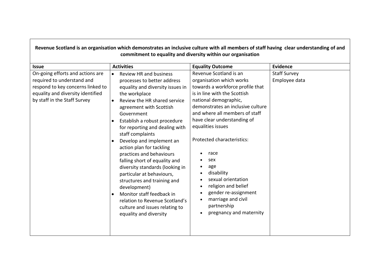| Revenue Scotland is an organisation which demonstrates an inclusive culture with all members of staff having clear understanding of and<br>commitment to equality and diversity within our organisation |                                                                                                                                                                                                                                                                                                                                                                                                                                                                                                                                                                                                                                                                                                                  |                                                                                                                                                                                                                                                                                                                                                                                                                                                                                   |                                      |
|---------------------------------------------------------------------------------------------------------------------------------------------------------------------------------------------------------|------------------------------------------------------------------------------------------------------------------------------------------------------------------------------------------------------------------------------------------------------------------------------------------------------------------------------------------------------------------------------------------------------------------------------------------------------------------------------------------------------------------------------------------------------------------------------------------------------------------------------------------------------------------------------------------------------------------|-----------------------------------------------------------------------------------------------------------------------------------------------------------------------------------------------------------------------------------------------------------------------------------------------------------------------------------------------------------------------------------------------------------------------------------------------------------------------------------|--------------------------------------|
| <b>Issue</b>                                                                                                                                                                                            | <b>Activities</b>                                                                                                                                                                                                                                                                                                                                                                                                                                                                                                                                                                                                                                                                                                | <b>Equality Outcome</b>                                                                                                                                                                                                                                                                                                                                                                                                                                                           | <b>Evidence</b>                      |
| On-going efforts and actions are<br>required to understand and<br>respond to key concerns linked to<br>equality and diversity identified<br>by staff in the Staff Survey                                | <b>Review HR and business</b><br>$\bullet$<br>processes to better address<br>equality and diversity issues in<br>the workplace<br>Review the HR shared service<br>$\bullet$<br>agreement with Scottish<br>Government<br>Establish a robust procedure<br>$\bullet$<br>for reporting and dealing with<br>staff complaints<br>Develop and implement an<br>$\bullet$<br>action plan for tackling<br>practices and behaviours<br>falling short of equality and<br>diversity standards (looking in<br>particular at behaviours,<br>structures and training and<br>development)<br>Monitor staff feedback in<br>$\bullet$<br>relation to Revenue Scotland's<br>culture and issues relating to<br>equality and diversity | Revenue Scotland is an<br>organisation which works<br>towards a workforce profile that<br>is in line with the Scottish<br>national demographic,<br>demonstrates an inclusive culture<br>and where all members of staff<br>have clear understanding of<br>equalities issues<br>Protected characteristics:<br>race<br>sex<br>age<br>disability<br>sexual orientation<br>religion and belief<br>gender re-assignment<br>marriage and civil<br>partnership<br>pregnancy and maternity | <b>Staff Survey</b><br>Employee data |